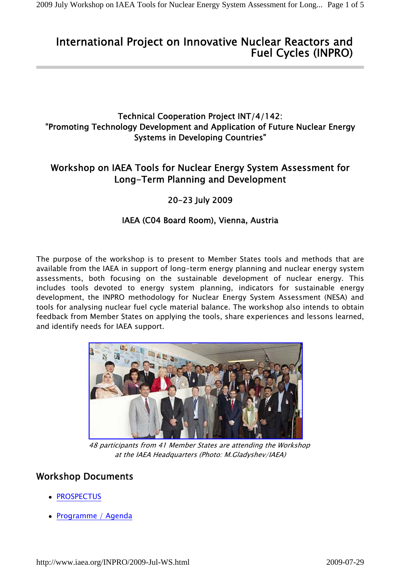# International Project on Innovative Nuclear Reactors and Fuel Cycles (INPRO)

## Technical Cooperation Project INT/4/142: "Promoting Technology Development and Application of Future Nuclear Energy Systems in Developing Countries"

# Workshop on IAEA Tools for Nuclear Energy System Assessment for Long-Term Planning and Development

## 20-23 July 2009

## IAEA (C04 Board Room), Vienna, Austria

The purpose of the workshop is to present to Member States tools and methods that are available from the IAEA in support of long-term energy planning and nuclear energy system assessments, both focusing on the sustainable development of nuclear energy. This includes tools devoted to energy system planning, indicators for sustainable energy development, the INPRO methodology for Nuclear Energy System Assessment (NESA) and tools for analysing nuclear fuel cycle material balance. The workshop also intends to obtain feedback from Member States on applying the tools, share experiences and lessons learned, and identify needs for IAEA support.



48 participants from 41 Member States are attending the Workshop at the IAEA Headquarters (Photo: M.Gladyshev/IAEA)

## Workshop Documents

- PROSPECTUS
- Programme / Agenda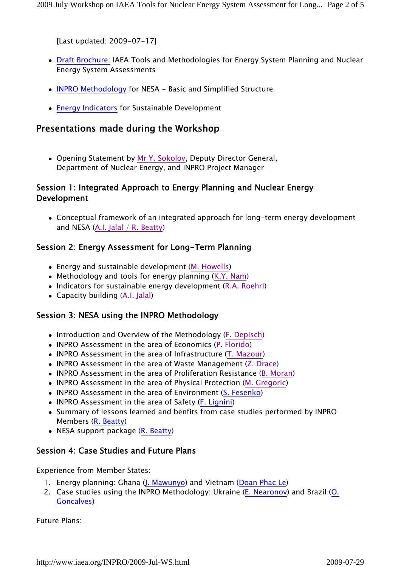[Last updated: 2009-07-17]

- Draft Brochure: IAEA Tools and Methodologies for Energy System Planning and Nuclear Energy System Assessments
- INPRO Methodology for NESA Basic and Simplified Structure
- Energy Indicators for Sustainable Development

## Presentations made during the Workshop

 Opening Statement by Mr Y. Sokolov, Deputy Director General, Department of Nuclear Energy, and INPRO Project Manager

## Session 1: Integrated Approach to Energy Planning and Nuclear Energy Development

 Conceptual framework of an integrated approach for long-term energy development and NESA (A.I. Jalal / R. Beatty)

## Session 2: Energy Assessment for Long-Term Planning

- Energy and sustainable development (M. Howells)
- Methodology and tools for energy planning (K.Y. Nam)
- Indicators for sustainable energy development (R.A. Roehrl)
- Capacity building (A.I. Jalal)

### Session 3: NESA using the INPRO Methodology

- Introduction and Overview of the Methodology (F. Depisch)
- INPRO Assessment in the area of Economics (P. Florido)
- INPRO Assessment in the area of Infrastructure (T. Mazour)
- INPRO Assessment in the area of Waste Management (Z. Drace)
- INPRO Assessment in the area of Proliferation Resistance (B. Moran)
- INPRO Assessment in the area of Physical Protection (M. Gregoric)
- INPRO Assessment in the area of Environment (S. Fesenko)
- INPRO Assessment in the area of Safety (F. Lignini)
- Summary of lessons learned and benfits from case studies performed by INPRO Members (R. Beatty)
- NESA support package (R. Beatty)

### Session 4: Case Studies and Future Plans

Experience from Member States:

- 1. Energy planning: Ghana (J. Mawunyo) and Vietnam (Doan Phac Le)
- 2. Case studies using the INPRO Methodology: Ukraine (E. Nearonov) and Brazil (O. Goncalves)

Future Plans: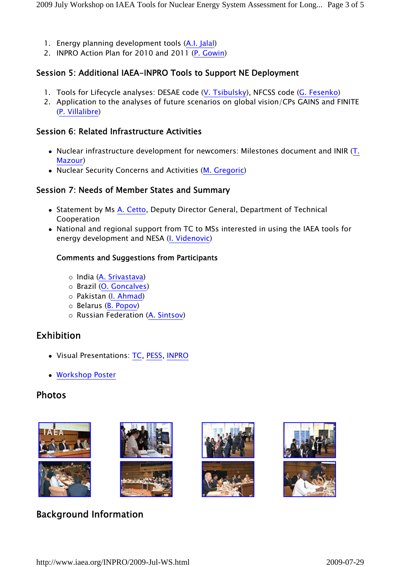- 1. Energy planning development tools (A.I. Jalal)
- 2. INPRO Action Plan for 2010 and 2011 (P. Gowin)

### Session 5: Additional IAEA-INPRO Tools to Support NE Deployment

- 1. Tools for Lifecycle analyses: DESAE code (V. Tsibulsky), NFCSS code (G. Fesenko)
- 2. Application to the analyses of future scenarios on global vision/CPs GAINS and FINITE (P. Villalibre)

#### Session 6: Related Infrastructure Activities

- Nuclear infrastructure development for newcomers: Milestones document and INIR (T. Mazour)
- Nuclear Security Concerns and Activities (M. Gregoric)

#### Session 7: Needs of Member States and Summary

- Statement by Ms A. Cetto, Deputy Director General, Department of Technical Cooperation
- National and regional support from TC to MSs interested in using the IAEA tools for energy development and NESA (I. Videnovic)

#### Comments and Suggestions from Participants

- India (A. Srivastava)
- o Brazil (O. Goncalves)
- Pakistan (I. Ahmad)
- $\circ$  Belarus (B. Popov)
- Russian Federation (A. Sintsov)

## Exhibition

- Visual Presentations: TC, PESS, INPRO
- Workshop Poster

## Photos











# Background Information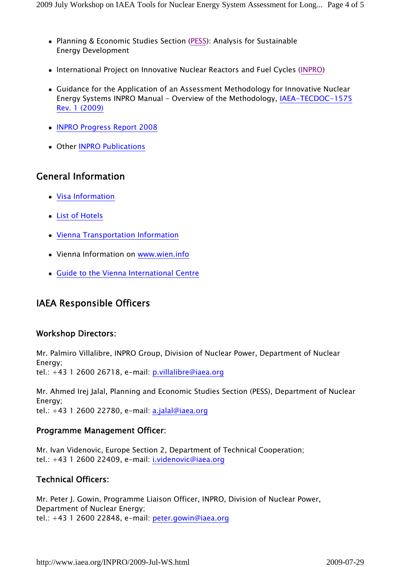- Planning & Economic Studies Section (PESS): Analysis for Sustainable Energy Development
- International Project on Innovative Nuclear Reactors and Fuel Cycles (INPRO)
- Guidance for the Application of an Assessment Methodology for Innovative Nuclear Energy Systems INPRO Manual - Overview of the Methodology, IAEA-TECDOC-1575 Rev. 1 (2009)
- INPRO Progress Report 2008
- Other INPRO Publications

## General Information

- Visa Information
- List of Hotels
- Vienna Transportation Information
- Vienna Information on www.wien.info
- Guide to the Vienna International Centre

# IAEA Responsible Officers

### Workshop Directors:

Mr. Palmiro Villalibre, INPRO Group, Division of Nuclear Power, Department of Nuclear Energy; tel.:  $+43$  1 2600 26718, e-mail: p.villalibre@iaea.org

Mr. Ahmed Irej Jalal, Planning and Economic Studies Section (PESS), Department of Nuclear Energy; tel.:  $+43$  1 2600 22780, e-mail: a.jalal@iaea.org

### Programme Management Officer:

Mr. Ivan Videnovic, Europe Section 2, Department of Technical Cooperation; tel.: +43 1 2600 22409, e-mail: i.videnovic@iaea.org

## Technical Officers:

Mr. Peter J. Gowin, Programme Liaison Officer, INPRO, Division of Nuclear Power, Department of Nuclear Energy; tel.: +43 1 2600 22848, e-mail: peter.gowin@iaea.org